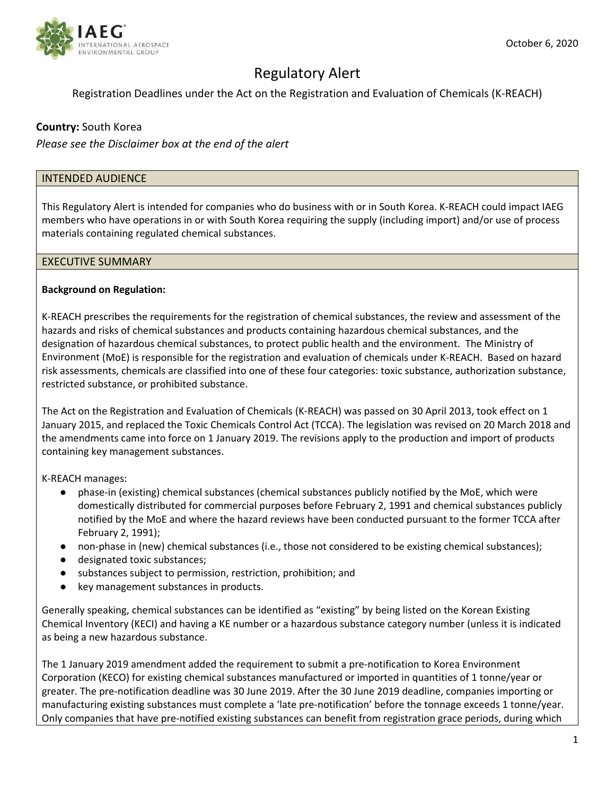

# Regulatory Alert

## Registration Deadlines under the Act on the Registration and Evaluation of Chemicals (K‐REACH)

## **Country:** South Korea

*Please see the Disclaimer box at the end of the alert*

#### INTENDED AUDIENCE

This Regulatory Alert is intended for companies who do business with or in South Korea. K‐REACH could impact IAEG members who have operations in or with South Korea requiring the supply (including import) and/or use of process materials containing regulated chemical substances.

#### EXECUTIVE SUMMARY

#### **Background on Regulation:**

K‐REACH prescribes the requirements for the registration of chemical substances, the review and assessment of the hazards and risks of chemical substances and products containing hazardous chemical substances, and the designation of hazardous chemical substances, to protect public health and the environment. The Ministry of Environment (MoE) is responsible for the registration and evaluation of chemicals under K‐REACH. Based on hazard risk assessments, chemicals are classified into one of these four categories: toxic substance, authorization substance, restricted substance, or prohibited substance.

The Act on the Registration and Evaluation of Chemicals (K‐REACH) was passed on 30 April 2013, took effect on 1 January 2015, and replaced the Toxic Chemicals Control Act (TCCA). The legislation was revised on 20 March 2018 and the amendments came into force on 1 January 2019. The revisions apply to the production and import of products containing key management substances.

K‐REACH manages:

- phase-in (existing) chemical substances (chemical substances publicly notified by the MoE, which were domestically distributed for commercial purposes before February 2, 1991 and chemical substances publicly notified by the MoE and where the hazard reviews have been conducted pursuant to the former TCCA after February 2, 1991);
- non-phase in (new) chemical substances (i.e., those not considered to be existing chemical substances);
- designated toxic substances;
- substances subject to permission, restriction, prohibition; and
- key management substances in products.

Generally speaking, chemical substances can be identified as "existing" by being listed on the Korean Existing Chemical Inventory (KECI) and having a KE number or a hazardous substance category number (unless it is indicated as being a new hazardous substance.

The 1 January 2019 amendment added the requirement to submit a pre‐notification to Korea Environment Corporation (KECO) for existing chemical substances manufactured or imported in quantities of 1 tonne/year or greater. The pre‐notification deadline was 30 June 2019. After the 30 June 2019 deadline, companies importing or manufacturing existing substances must complete a 'late pre-notification' before the tonnage exceeds 1 tonne/year. Only companies that have pre‐notified existing substances can benefit from registration grace periods, during which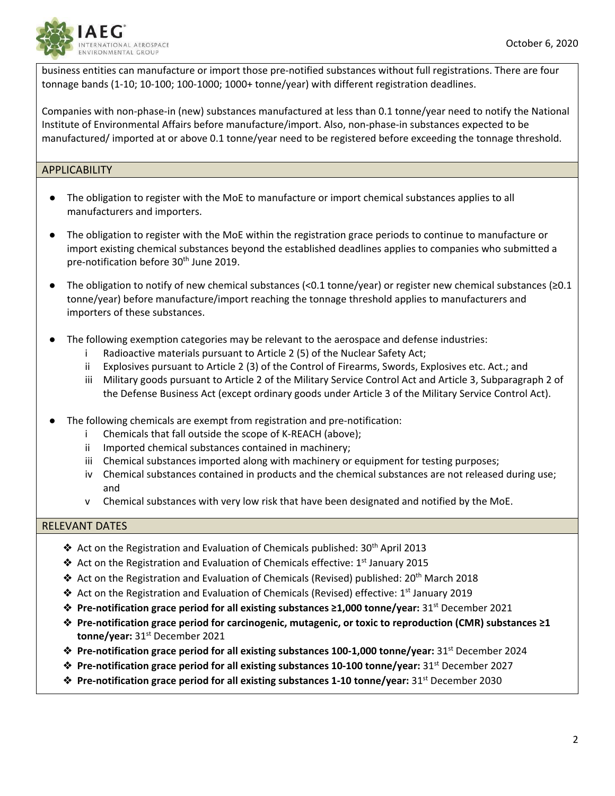

business entities can manufacture or import those pre‐notified substances without full registrations. There are four tonnage bands (1‐10; 10‐100; 100‐1000; 1000+ tonne/year) with different registration deadlines.

Companies with non‐phase‐in (new) substances manufactured at less than 0.1 tonne/year need to notify the National Institute of Environmental Affairs before manufacture/import. Also, non-phase-in substances expected to be manufactured/ imported at or above 0.1 tonne/year need to be registered before exceeding the tonnage threshold.

#### APPLICABILITY

- The obligation to register with the MoE to manufacture or import chemical substances applies to all manufacturers and importers.
- The obligation to register with the MoE within the registration grace periods to continue to manufacture or import existing chemical substances beyond the established deadlines applies to companies who submitted a pre-notification before 30<sup>th</sup> June 2019.
- The obligation to notify of new chemical substances (<0.1 tonne/year) or register new chemical substances ( $\geq 0.1$ tonne/year) before manufacture/import reaching the tonnage threshold applies to manufacturers and importers of these substances.
- The following exemption categories may be relevant to the aerospace and defense industries:
	- i Radioactive materials pursuant to Article 2 (5) of the Nuclear Safety Act;
	- ii Explosives pursuant to Article 2 (3) of the Control of Firearms, Swords, Explosives etc. Act.; and
	- iii Military goods pursuant to Article 2 of the Military Service Control Act and Article 3, Subparagraph 2 of the Defense Business Act (except ordinary goods under Article 3 of the Military Service Control Act).
- The following chemicals are exempt from registration and pre-notification:
	- i Chemicals that fall outside the scope of K‐REACH (above);
	- ii Imported chemical substances contained in machinery;
	- iii Chemical substances imported along with machinery or equipment for testing purposes;
	- iv Chemical substances contained in products and the chemical substances are not released during use; and
	- v Chemical substances with very low risk that have been designated and notified by the MoE.

## RELEVANT DATES

- ◆ Act on the Registration and Evaluation of Chemicals published: 30<sup>th</sup> April 2013
- ◆ Act on the Registration and Evaluation of Chemicals effective: 1<sup>st</sup> January 2015
- ◆ Act on the Registration and Evaluation of Chemicals (Revised) published:  $20<sup>th</sup>$  March 2018
- ◆ Act on the Registration and Evaluation of Chemicals (Revised) effective: 1<sup>st</sup> January 2019
- ❖ **Pre‐notification grace period for all existing substances ≥1,000 tonne/year:** 31st December 2021
- ❖ **Pre‐notification grace period for carcinogenic, mutagenic, or toxic to reproduction (CMR) substances ≥1 tonne/year:** 31st December 2021
- ❖ **Pre‐notification grace period for all existing substances 100‐1,000 tonne/year:** 31st December 2024
- ❖ **Pre‐notification grace period for all existing substances 10‐100 tonne/year:** 31st December 2027
- ❖ **Pre‐notification grace period for all existing substances 1‐10 tonne/year:** 31st December 2030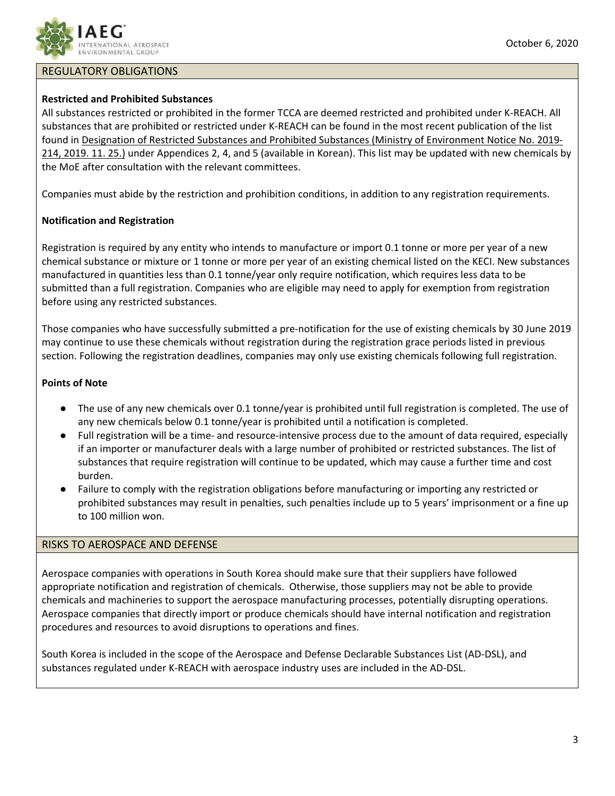

## REGULATORY OBLIGATIONS

## **Restricted and Prohibited Substances**

All substances restricted or prohibited in the former TCCA are deemed restricted and prohibited under K‐REACH. All substances that are prohibited or restricted under K‐REACH can be found in the most recent publication of the list found in Designation of Restricted Substances and Prohibited Substances (Ministry of Environment Notice No. 2019‐ 214, 2019. 11. 25.) under Appendices 2, 4, and 5 (available in Korean). This list may be updated with new chemicals by the MoE after consultation with the relevant committees.

Companies must abide by the restriction and prohibition conditions, in addition to any registration requirements.

## **Notification and Registration**

Registration is required by any entity who intends to manufacture or import 0.1 tonne or more per year of a new chemical substance or mixture or 1 tonne or more per year of an existing chemical listed on the KECI. New substances manufactured in quantities less than 0.1 tonne/year only require notification, which requires less data to be submitted than a full registration. Companies who are eligible may need to apply for exemption from registration before using any restricted substances.

Those companies who have successfully submitted a pre‐notification for the use of existing chemicals by 30 June 2019 may continue to use these chemicals without registration during the registration grace periods listed in previous section. Following the registration deadlines, companies may only use existing chemicals following full registration.

#### **Points of Note**

- The use of any new chemicals over 0.1 tonne/year is prohibited until full registration is completed. The use of any new chemicals below 0.1 tonne/year is prohibited until a notification is completed.
- Full registration will be a time- and resource-intensive process due to the amount of data required, especially if an importer or manufacturer deals with a large number of prohibited or restricted substances. The list of substances that require registration will continue to be updated, which may cause a further time and cost burden.
- Failure to comply with the registration obligations before manufacturing or importing any restricted or prohibited substances may result in penalties, such penalties include up to 5 years' imprisonment or a fine up to 100 million won.

## RISKS TO AEROSPACE AND DEFENSE

Aerospace companies with operations in South Korea should make sure that their suppliers have followed appropriate notification and registration of chemicals. Otherwise, those suppliers may not be able to provide chemicals and machineries to support the aerospace manufacturing processes, potentially disrupting operations. Aerospace companies that directly import or produce chemicals should have internal notification and registration procedures and resources to avoid disruptions to operations and fines.

South Korea is included in the scope of the Aerospace and Defense Declarable Substances List (AD‐DSL), and substances regulated under K‐REACH with aerospace industry uses are included in the AD‐DSL.